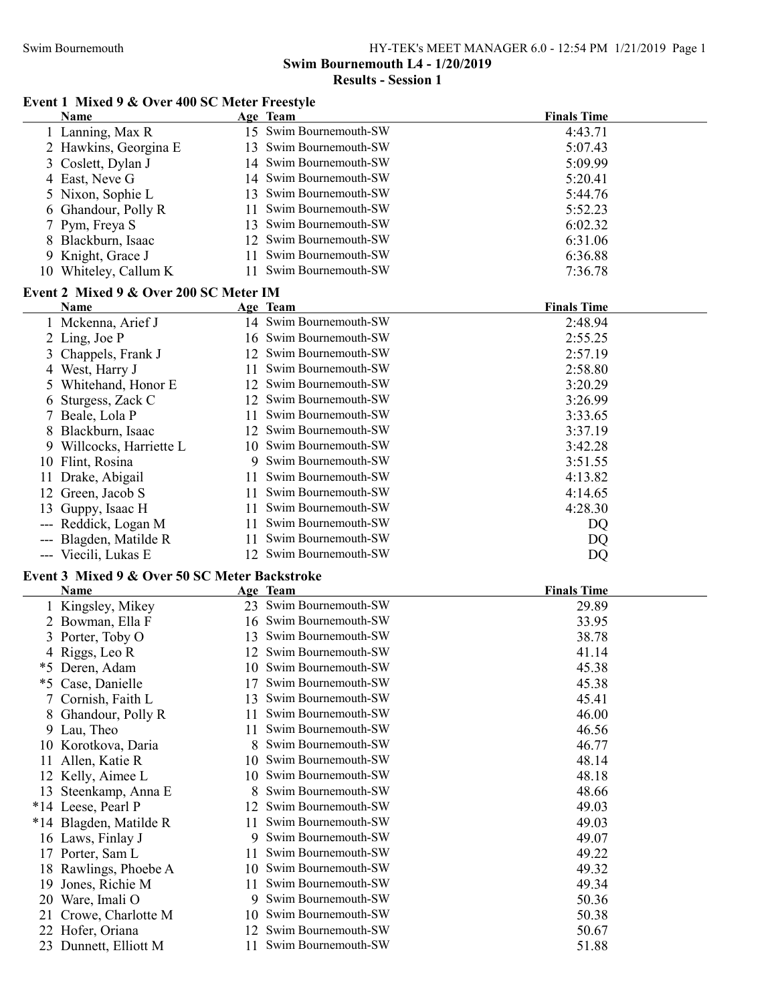# Swim Bournemouth L4 - 1/20/2019

## Results - Session 1

### Event 1 Mixed 9 & Over 400 SC Meter Freestyle

|    | Name                                          |          | Age Team                                   | <b>Finals Time</b> |
|----|-----------------------------------------------|----------|--------------------------------------------|--------------------|
|    | 1 Lanning, Max R                              |          | 15 Swim Bournemouth-SW                     | 4:43.71            |
|    | 2 Hawkins, Georgina E                         | 13       | Swim Bournemouth-SW                        | 5:07.43            |
| 3  | Coslett, Dylan J                              | 14       | Swim Bournemouth-SW                        | 5:09.99            |
|    | 4 East, Neve G                                | 14       | Swim Bournemouth-SW                        | 5:20.41            |
|    | 5 Nixon, Sophie L                             | 13       | Swim Bournemouth-SW                        | 5:44.76            |
| 6  | Ghandour, Polly R                             | 11       | Swim Bournemouth-SW                        | 5:52.23            |
| 7  | Pym, Freya S                                  | 13       | Swim Bournemouth-SW                        | 6:02.32            |
|    | 8 Blackburn, Isaac                            |          | 12 Swim Bournemouth-SW                     | 6:31.06            |
|    | 9 Knight, Grace J                             | 11       | Swim Bournemouth-SW                        | 6:36.88            |
|    | 10 Whiteley, Callum K                         | 11       | Swim Bournemouth-SW                        | 7:36.78            |
|    | Event 2 Mixed 9 & Over 200 SC Meter IM        |          |                                            |                    |
|    | Name                                          |          | Age Team                                   | <b>Finals Time</b> |
|    | 1 Mckenna, Arief J                            |          | 14 Swim Bournemouth-SW                     | 2:48.94            |
|    | 2 Ling, Joe P                                 |          | 16 Swim Bournemouth-SW                     | 2:55.25            |
| 3  | Chappels, Frank J                             |          | 12 Swim Bournemouth-SW                     | 2:57.19            |
|    | 4 West, Harry J                               | 11       | Swim Bournemouth-SW                        | 2:58.80            |
| 5  | Whitehand, Honor E                            |          | 12 Swim Bournemouth-SW                     | 3:20.29            |
| 6  | Sturgess, Zack C                              |          | 12 Swim Bournemouth-SW                     | 3:26.99            |
| 7  | Beale, Lola P                                 | 11       | Swim Bournemouth-SW                        | 3:33.65            |
| 8  | Blackburn, Isaac                              |          | 12 Swim Bournemouth-SW                     | 3:37.19            |
|    | 9 Willcocks, Harriette L                      | 10       | Swim Bournemouth-SW                        | 3:42.28            |
|    | 10 Flint, Rosina                              | 9        | Swim Bournemouth-SW                        | 3:51.55            |
|    | 11 Drake, Abigail                             | 11.      | Swim Bournemouth-SW                        | 4:13.82            |
|    | 12 Green, Jacob S                             | 11       | Swim Bournemouth-SW                        | 4:14.65            |
| 13 | Guppy, Isaac H                                | 11       | Swim Bournemouth-SW                        | 4:28.30            |
|    | --- Reddick, Logan M                          | 11       | Swim Bournemouth-SW                        | DQ                 |
|    | --- Blagden, Matilde R                        | 11       | Swim Bournemouth-SW                        | DQ                 |
|    |                                               |          |                                            |                    |
|    |                                               |          |                                            |                    |
|    | --- Viecili, Lukas E                          |          | 12 Swim Bournemouth-SW                     | DQ                 |
|    | Event 3 Mixed 9 & Over 50 SC Meter Backstroke |          |                                            |                    |
|    | <b>Name</b>                                   |          | Age Team                                   | <b>Finals Time</b> |
|    | 1 Kingsley, Mikey                             |          | 23 Swim Bournemouth-SW                     | 29.89              |
|    | 2 Bowman, Ella F                              |          | 16 Swim Bournemouth-SW                     | 33.95              |
|    | 3 Porter, Toby O                              |          | 13 Swim Bournemouth-SW                     | 38.78              |
|    | 4 Riggs, Leo R                                |          | 12 Swim Bournemouth-SW                     | 41.14              |
|    | *5 Deren, Adam                                |          | 10 Swim Bournemouth-SW                     | 45.38              |
|    | *5 Case, Danielle                             | 17       | Swim Bournemouth-SW                        | 45.38              |
|    | 7 Cornish, Faith L                            | 13       | Swim Bournemouth-SW                        | 45.41              |
| 8  | Ghandour, Polly R                             | 11       | Swim Bournemouth-SW                        | 46.00              |
|    | 9 Lau, Theo                                   | 11       | Swim Bournemouth-SW                        | 46.56              |
|    | 10 Korotkova, Daria                           | 8        | Swim Bournemouth-SW                        | 46.77              |
| 11 | Allen, Katie R                                | 10       | Swim Bournemouth-SW                        | 48.14              |
| 12 | Kelly, Aimee L                                | 10       | Swim Bournemouth-SW                        | 48.18              |
|    | 13 Steenkamp, Anna E                          | 8        | Swim Bournemouth-SW                        | 48.66              |
|    | *14 Leese, Pearl P                            | 12       | Swim Bournemouth-SW                        | 49.03              |
|    | *14 Blagden, Matilde R                        | 11       | Swim Bournemouth-SW                        | 49.03              |
|    | 16 Laws, Finlay J                             | 9        | Swim Bournemouth-SW                        | 49.07              |
|    | 17 Porter, Sam L                              | 11       | Swim Bournemouth-SW                        | 49.22              |
|    | 18 Rawlings, Phoebe A                         | 10       | Swim Bournemouth-SW                        | 49.32              |
| 19 | Jones, Richie M                               | 11       | Swim Bournemouth-SW                        | 49.34              |
|    | 20 Ware, Imali O                              | 9        | Swim Bournemouth-SW                        | 50.36              |
| 21 | Crowe, Charlotte M                            | 10       | Swim Bournemouth-SW                        | 50.38              |
|    | 22 Hofer, Oriana<br>23 Dunnett, Elliott M     | 12<br>11 | Swim Bournemouth-SW<br>Swim Bournemouth-SW | 50.67<br>51.88     |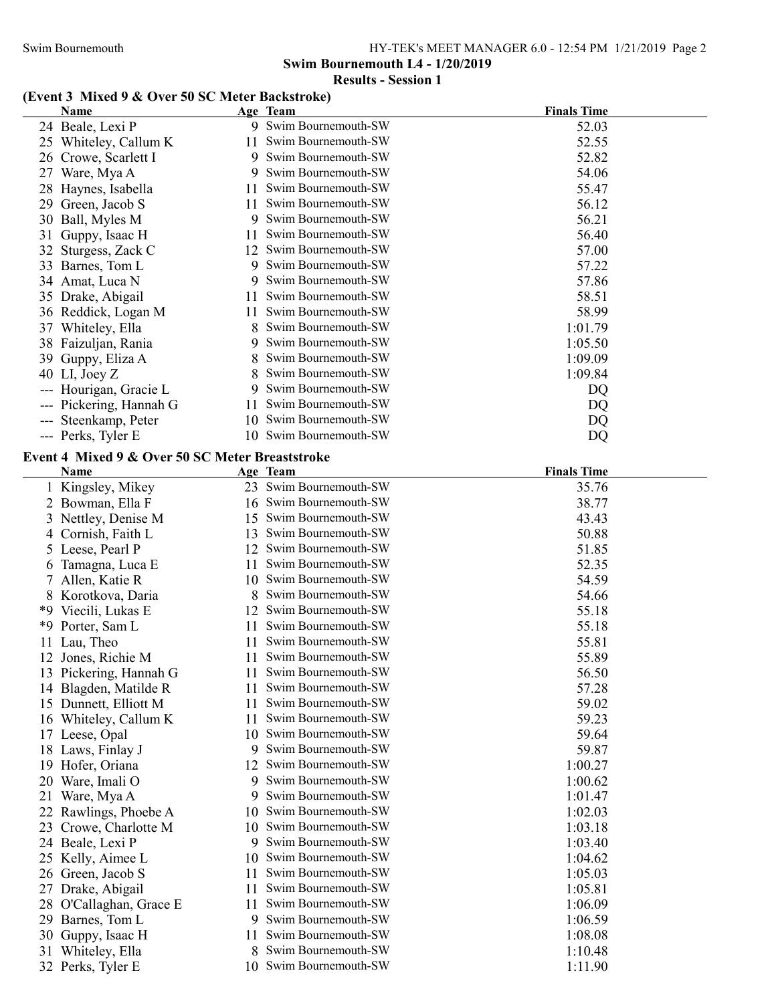Swim Bournemouth L4 - 1/20/2019

## Results - Session 1

### (Event 3 Mixed 9 & Over 50 SC Meter Backstroke)

|    | <b>Name</b>                                     |     | Age Team               | <b>Finals Time</b> |
|----|-------------------------------------------------|-----|------------------------|--------------------|
|    | 24 Beale, Lexi P                                |     | 9 Swim Bournemouth-SW  | 52.03              |
|    | 25 Whiteley, Callum K                           | 11. | Swim Bournemouth-SW    | 52.55              |
|    | 26 Crowe, Scarlett I                            | 9   | Swim Bournemouth-SW    | 52.82              |
|    | 27 Ware, Mya A                                  |     | Swim Bournemouth-SW    | 54.06              |
|    | 28 Haynes, Isabella                             | П   | Swim Bournemouth-SW    | 55.47              |
| 29 | Green, Jacob S                                  | 11  | Swim Bournemouth-SW    | 56.12              |
|    | 30 Ball, Myles M                                | 9   | Swim Bournemouth-SW    | 56.21              |
| 31 | Guppy, Isaac H                                  | 11  | Swim Bournemouth-SW    | 56.40              |
|    | 32 Sturgess, Zack C                             |     | 12 Swim Bournemouth-SW | 57.00              |
|    | 33 Barnes, Tom L                                |     | 9 Swim Bournemouth-SW  | 57.22              |
|    | 34 Amat, Luca N                                 | 9   | Swim Bournemouth-SW    | 57.86              |
|    | 35 Drake, Abigail                               | 11  | Swim Bournemouth-SW    | 58.51              |
|    | 36 Reddick, Logan M                             | 11. | Swim Bournemouth-SW    | 58.99              |
|    | 37 Whiteley, Ella                               | 8   | Swim Bournemouth-SW    | 1:01.79            |
|    | 38 Faizuljan, Rania                             | 9   | Swim Bournemouth-SW    | 1:05.50            |
|    | 39 Guppy, Eliza A                               | 8   | Swim Bournemouth-SW    | 1:09.09            |
|    | 40 LI, Joey Z                                   | 8   | Swim Bournemouth-SW    | 1:09.84            |
|    | --- Hourigan, Gracie L                          | 9   | Swim Bournemouth-SW    | DQ                 |
|    | --- Pickering, Hannah G                         | 11  | Swim Bournemouth-SW    | DQ                 |
|    | --- Steenkamp, Peter                            | 10  | Swim Bournemouth-SW    | DQ                 |
|    | --- Perks, Tyler E                              |     | 10 Swim Bournemouth-SW | DQ                 |
|    | Event 4 Mixed 9 & Over 50 SC Meter Breaststroke |     |                        |                    |
|    | Name                                            |     | Age Team               | <b>Finals Time</b> |
|    | 1 Kingsley, Mikey                               |     | 23 Swim Bournemouth-SW | 35.76              |
|    | 2 Bowman, Ella F                                |     | 16 Swim Bournemouth-SW | 38.77              |
| 3  | Nettley, Denise M                               | 15  | Swim Bournemouth-SW    | 43.43              |
| 4  | Cornish, Faith L                                | 13  | Swim Bournemouth-SW    | 50.88              |
|    | 5 Leese, Pearl P                                | 12  | Swim Bournemouth-SW    | 51.85              |
| 6  | Tamagna, Luca E                                 | 11  | Swim Bournemouth-SW    | 52.35              |
| 7. | Allen, Katie R                                  | 10  | Swim Bournemouth-SW    | 54.59              |
|    | 8 Korotkova, Daria                              | 8   | Swim Bournemouth-SW    | 54.66              |
|    | *9 Viecili, Lukas E                             | 12  | Swim Bournemouth-SW    | 55.18              |
|    | *9 Porter, Sam L                                | 11  | Swim Bournemouth-SW    | 55.18              |
|    | 11 Lau, Theo                                    | 11  | Swim Bournemouth-SW    | 55.81              |
|    | 12 Jones, Richie M                              | 11  | Swim Bournemouth-SW    | 55.89              |
|    | 13 Pickering, Hannah G                          |     | 11 Swim Bournemouth-SW | 56.50              |
|    | 14 Blagden, Matilde R                           | 11  | Swim Bournemouth-SW    | 57.28              |
|    | 15 Dunnett, Elliott M                           | 11  | Swim Bournemouth-SW    | 59.02              |
|    | 16 Whiteley, Callum K                           | 11  | Swim Bournemouth-SW    | 59.23              |
|    | 17 Leese, Opal                                  | 10  | Swim Bournemouth-SW    | 59.64              |
|    | 18 Laws, Finlay J                               | 9   | Swim Bournemouth-SW    | 59.87              |
| 19 | Hofer, Oriana                                   | 12  | Swim Bournemouth-SW    | 1:00.27            |
| 20 | Ware, Imali O                                   | 9   | Swim Bournemouth-SW    | 1:00.62            |
| 21 | Ware, Mya A                                     | 9   | Swim Bournemouth-SW    | 1:01.47            |
|    | 22 Rawlings, Phoebe A                           | 10  | Swim Bournemouth-SW    | 1:02.03            |
| 23 | Crowe, Charlotte M                              | 10  | Swim Bournemouth-SW    | 1:03.18            |
|    | 24 Beale, Lexi P                                | 9   | Swim Bournemouth-SW    | 1:03.40            |
|    | 25 Kelly, Aimee L                               | 10  | Swim Bournemouth-SW    | 1:04.62            |
|    | 26 Green, Jacob S                               | 11  | Swim Bournemouth-SW    | 1:05.03            |
| 27 | Drake, Abigail                                  | 11  | Swim Bournemouth-SW    | 1:05.81            |
| 28 | O'Callaghan, Grace E                            | 11  | Swim Bournemouth-SW    | 1:06.09            |
| 29 | Barnes, Tom L                                   | 9   | Swim Bournemouth-SW    | 1:06.59            |
| 30 | Guppy, Isaac H                                  | 11  | Swim Bournemouth-SW    | 1:08.08            |
| 31 | Whiteley, Ella                                  | 8   | Swim Bournemouth-SW    | 1:10.48            |
|    | 32 Perks, Tyler E                               | 10  | Swim Bournemouth-SW    | 1:11.90            |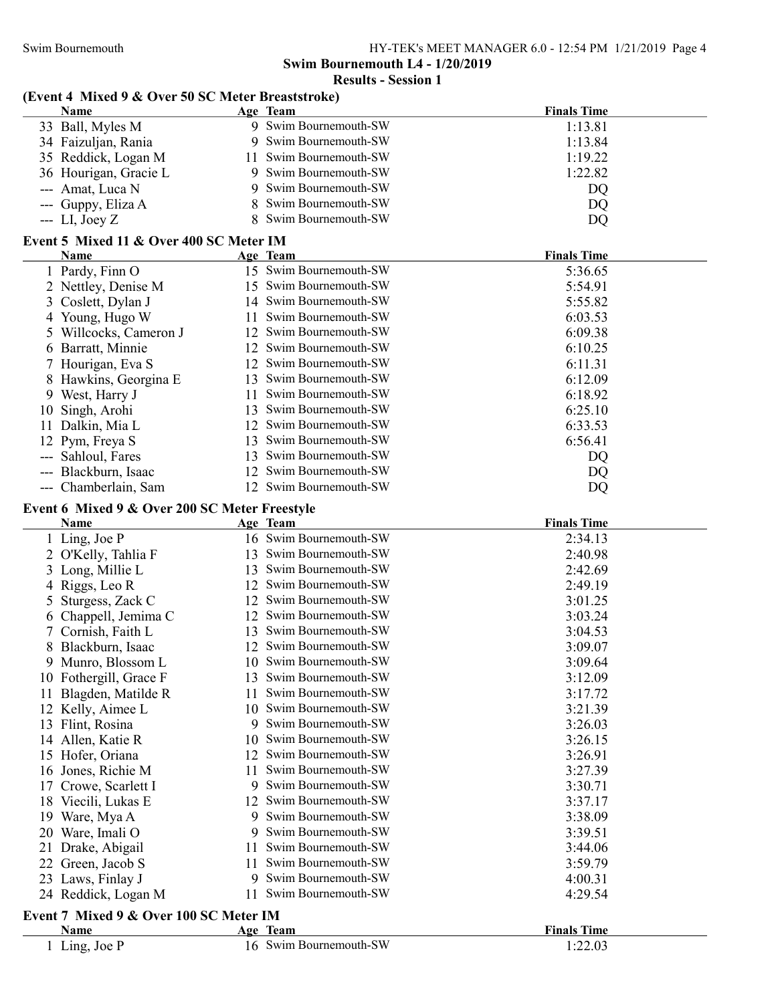Swim Bournemouth HY-TEK's MEET MANAGER 6.0 - 12:54 PM 1/21/2019 Page 4

Swim Bournemouth L4 - 1/20/2019

Results - Session 1

## (Event 4 Mixed 9 & Over 50 SC Meter Breaststroke)

|    | <b>Name</b>                                   |    | Age Team                                   | <b>Finals Time</b> |
|----|-----------------------------------------------|----|--------------------------------------------|--------------------|
|    | 33 Ball, Myles M                              |    | 9 Swim Bournemouth-SW                      | 1:13.81            |
|    | 34 Faizuljan, Rania                           |    | 9 Swim Bournemouth-SW                      | 1:13.84            |
|    | 35 Reddick, Logan M                           | 11 | Swim Bournemouth-SW                        | 1:19.22            |
|    | 36 Hourigan, Gracie L                         |    | 9 Swim Bournemouth-SW                      | 1:22.82            |
|    | --- Amat, Luca N                              | 9  | Swim Bournemouth-SW                        | DQ                 |
|    | --- Guppy, Eliza A                            | 8  | Swim Bournemouth-SW                        | DQ                 |
|    | $-LI$ , Joey Z                                | 8  | Swim Bournemouth-SW                        | DQ                 |
|    | Event 5 Mixed 11 & Over 400 SC Meter IM       |    |                                            |                    |
|    | Name                                          |    | Age Team                                   | <b>Finals Time</b> |
|    | 1 Pardy, Finn O                               |    | 15 Swim Bournemouth-SW                     | 5:36.65            |
|    | 2 Nettley, Denise M                           |    | 15 Swim Bournemouth-SW                     | 5:54.91            |
|    |                                               |    | 14 Swim Bournemouth-SW                     | 5:55.82            |
|    | 3 Coslett, Dylan J                            | 11 | Swim Bournemouth-SW                        | 6:03.53            |
|    | 4 Young, Hugo W                               |    | 12 Swim Bournemouth-SW                     | 6:09.38            |
|    | 5 Willcocks, Cameron J                        |    | 12 Swim Bournemouth-SW                     |                    |
|    | 6 Barratt, Minnie                             |    | 12 Swim Bournemouth-SW                     | 6:10.25            |
|    | 7 Hourigan, Eva S                             |    | 13 Swim Bournemouth-SW                     | 6:11.31            |
|    | Hawkins, Georgina E                           |    | Swim Bournemouth-SW                        | 6:12.09            |
|    | 9 West, Harry J                               | 11 |                                            | 6:18.92            |
| 10 | Singh, Arohi                                  | 13 | Swim Bournemouth-SW<br>Swim Bournemouth-SW | 6:25.10            |
| 11 | Dalkin, Mia L                                 | 12 |                                            | 6:33.53            |
|    | 12 Pym, Freya S                               | 13 | Swim Bournemouth-SW                        | 6:56.41            |
|    | --- Sahloul, Fares                            | 13 | Swim Bournemouth-SW                        | DQ                 |
|    | --- Blackburn, Isaac                          | 12 | Swim Bournemouth-SW                        | DQ                 |
|    | --- Chamberlain, Sam                          |    | 12 Swim Bournemouth-SW                     | DQ                 |
|    | Event 6 Mixed 9 & Over 200 SC Meter Freestyle |    |                                            |                    |
|    | <b>Name</b>                                   |    | Age Team                                   | <b>Finals Time</b> |
|    | 1 Ling, Joe P                                 |    | 16 Swim Bournemouth-SW                     | 2:34.13            |
|    | 2 O'Kelly, Tahlia F                           |    | 13 Swim Bournemouth-SW                     | 2:40.98            |
| 3  | Long, Millie L                                |    | 13 Swim Bournemouth-SW                     | 2:42.69            |
|    | 4 Riggs, Leo R                                |    | 12 Swim Bournemouth-SW                     | 2:49.19            |
| 5  | Sturgess, Zack C                              | 12 | Swim Bournemouth-SW                        | 3:01.25            |
|    | 6 Chappell, Jemima C                          | 12 | Swim Bournemouth-SW                        | 3:03.24            |
|    | Cornish, Faith L                              | 13 | Swim Bournemouth-SW                        | 3:04.53            |
| 8  | Blackburn, Isaac                              | 12 | Swim Bournemouth-SW                        | 3:09.07            |
|    | 9 Munro, Blossom L                            |    | 10 Swim Bournemouth-SW                     | 3:09.64            |
|    | 10 Fothergill, Grace F                        | 13 | Swim Bournemouth-SW                        | 3:12.09            |
|    | Blagden, Matilde R                            | 11 | Swim Bournemouth-SW                        | 3:17.72            |
|    | 12 Kelly, Aimee L                             | 10 | Swim Bournemouth-SW                        | 3:21.39            |
|    | 13 Flint, Rosina                              | 9  | Swim Bournemouth-SW                        | 3:26.03            |
|    | 14 Allen, Katie R                             | 10 | Swim Bournemouth-SW                        | 3:26.15            |
|    | 15 Hofer, Oriana                              | 12 | Swim Bournemouth-SW                        | 3:26.91            |
|    | 16 Jones, Richie M                            | 11 | Swim Bournemouth-SW                        | 3:27.39            |
| 17 | Crowe, Scarlett I                             | 9  | Swim Bournemouth-SW                        | 3:30.71            |
|    | 18 Viecili, Lukas E                           | 12 | Swim Bournemouth-SW                        | 3:37.17            |
|    | 19 Ware, Mya A                                | 9  | Swim Bournemouth-SW                        | 3:38.09            |
|    | 20 Ware, Imali O                              | 9  | Swim Bournemouth-SW                        | 3:39.51            |
| 21 | Drake, Abigail                                | П  | Swim Bournemouth-SW                        | 3:44.06            |
| 22 | Green, Jacob S                                | 11 | Swim Bournemouth-SW                        | 3:59.79            |
|    | 23 Laws, Finlay J                             | 9  | Swim Bournemouth-SW                        | 4:00.31            |
|    | 24 Reddick, Logan M                           | 11 | Swim Bournemouth-SW                        | 4:29.54            |
|    | Event 7 Mixed 9 & Over 100 SC Meter IM        |    |                                            |                    |
|    | Name                                          |    | Age Team                                   | <b>Finals Time</b> |
|    | 1 Ling, Joe P                                 |    | 16 Swim Bournemouth-SW                     | 1:22.03            |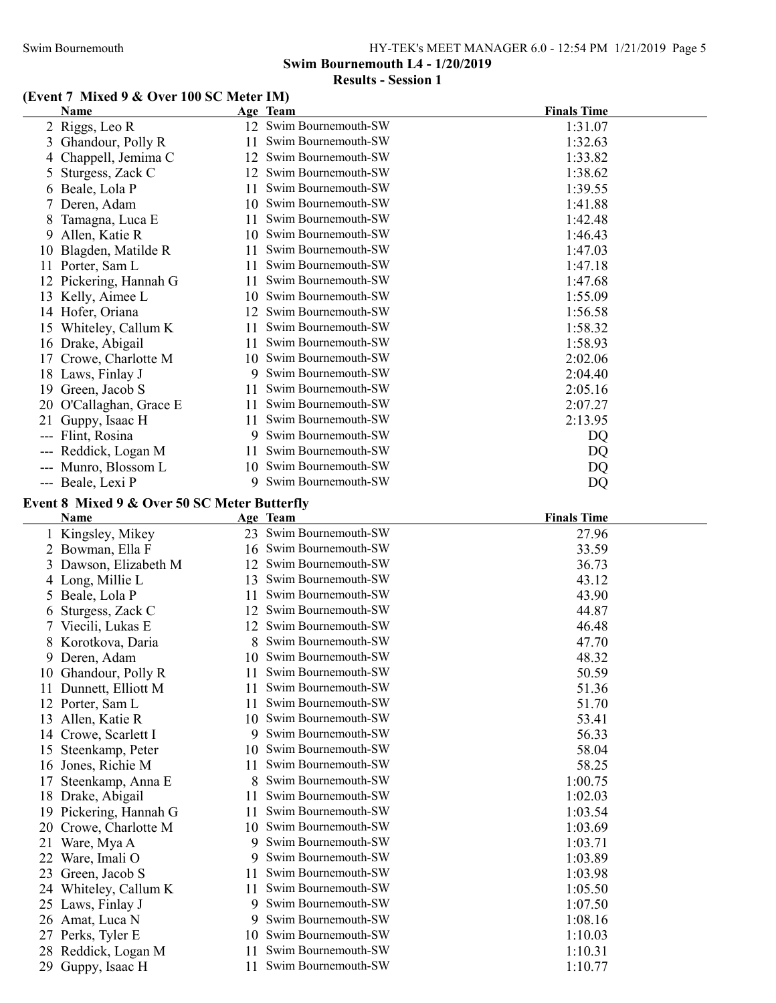#### Swim Bournemouth HY-TEK's MEET MANAGER 6.0 - 12:54 PM 1/21/2019 Page 5

Swim Bournemouth L4 - 1/20/2019

#### Results - Session 1

#### (Event 7 Mixed 9 & Over 100 SC Meter IM)

|                | Name                                         |     | Age Team               | <b>Finals Time</b> |
|----------------|----------------------------------------------|-----|------------------------|--------------------|
|                | 2 Riggs, Leo R                               |     | 12 Swim Bournemouth-SW | 1:31.07            |
| 3              | Ghandour, Polly R                            | 11  | Swim Bournemouth-SW    | 1:32.63            |
| $\overline{4}$ | Chappell, Jemima C                           |     | 12 Swim Bournemouth-SW | 1:33.82            |
| Ć              | Sturgess, Zack C                             |     | 12 Swim Bournemouth-SW | 1:38.62            |
|                | 6 Beale, Lola P                              | 11. | Swim Bournemouth-SW    | 1:39.55            |
|                | 7 Deren, Adam                                |     | 10 Swim Bournemouth-SW | 1:41.88            |
| 8              | Tamagna, Luca E                              | 11. | Swim Bournemouth-SW    | 1:42.48            |
| 9              | Allen, Katie R                               |     | 10 Swim Bournemouth-SW | 1:46.43            |
| 10             | Blagden, Matilde R                           | 11. | Swim Bournemouth-SW    | 1:47.03            |
|                | 11 Porter, Sam L                             | 11  | Swim Bournemouth-SW    | 1:47.18            |
|                | 12 Pickering, Hannah G                       |     | 11 Swim Bournemouth-SW | 1:47.68            |
|                | 13 Kelly, Aimee L                            |     | 10 Swim Bournemouth-SW | 1:55.09            |
|                | 14 Hofer, Oriana                             |     | 12 Swim Bournemouth-SW | 1:56.58            |
|                | 15 Whiteley, Callum K                        | 11  | Swim Bournemouth-SW    | 1:58.32            |
|                | 16 Drake, Abigail                            |     | 11 Swim Bournemouth-SW | 1:58.93            |
|                | 17 Crowe, Charlotte M                        |     | 10 Swim Bournemouth-SW | 2:02.06            |
|                | 18 Laws, Finlay J                            |     | 9 Swim Bournemouth-SW  | 2:04.40            |
|                | 19 Green, Jacob S                            | 11  | Swim Bournemouth-SW    | 2:05.16            |
|                | 20 O'Callaghan, Grace E                      |     | 11 Swim Bournemouth-SW | 2:07.27            |
|                | 21 Guppy, Isaac H                            | 11  | Swim Bournemouth-SW    | 2:13.95            |
|                | --- Flint, Rosina                            |     | 9 Swim Bournemouth-SW  | DQ                 |
|                |                                              | 11  | Swim Bournemouth-SW    |                    |
|                | --- Reddick, Logan M<br>--- Munro, Blossom L |     | 10 Swim Bournemouth-SW | DQ                 |
|                |                                              | 9   | Swim Bournemouth-SW    | DQ                 |
|                | --- Beale, Lexi P                            |     |                        | DQ                 |
|                | Event 8 Mixed 9 & Over 50 SC Meter Butterfly |     |                        |                    |
|                | Name                                         |     | Age Team               | <b>Finals Time</b> |
|                | 1 Kingsley, Mikey                            |     | 23 Swim Bournemouth-SW | 27.96              |
|                | 2 Bowman, Ella F                             |     | 16 Swim Bournemouth-SW | 33.59              |
|                | 3 Dawson, Elizabeth M                        |     | 12 Swim Bournemouth-SW | 36.73              |
|                | 4 Long, Millie L                             |     | 13 Swim Bournemouth-SW | 43.12              |
|                | 5 Beale, Lola P                              | 11  | Swim Bournemouth-SW    | 43.90              |
|                | 6 Sturgess, Zack C                           |     | 12 Swim Bournemouth-SW | 44.87              |
|                | 7 Viecili, Lukas E                           |     | 12 Swim Bournemouth-SW | 46.48              |
|                | 8 Korotkova, Daria                           | 8   | Swim Bournemouth-SW    | 47.70              |
|                | 9 Deren, Adam                                |     | 10 Swim Bournemouth-SW | 48.32              |
|                | 10 Ghandour, Polly R                         |     | 11 Swim Bournemouth-SW | 50.59              |
|                | 11 Dunnett, Elliott M                        | 11  | Swim Bournemouth-SW    | 51.36              |
|                | 12 Porter, Sam L                             | 11  | Swim Bournemouth-SW    | 51.70              |
| 13             | Allen, Katie R                               |     | 10 Swim Bournemouth-SW | 53.41              |
| 14             | Crowe, Scarlett I                            | 9   | Swim Bournemouth-SW    | 56.33              |
| 15             | Steenkamp, Peter                             |     | 10 Swim Bournemouth-SW | 58.04              |
|                | 16 Jones, Richie M                           | 11  | Swim Bournemouth-SW    | 58.25              |
| 17             | Steenkamp, Anna E                            | 8   | Swim Bournemouth-SW    | 1:00.75            |
|                | 18 Drake, Abigail                            | 11  | Swim Bournemouth-SW    | 1:02.03            |
|                | 19 Pickering, Hannah G                       | 11  | Swim Bournemouth-SW    | 1:03.54            |
| 20             | Crowe, Charlotte M                           | 10  | Swim Bournemouth-SW    | 1:03.69            |
| 21             | Ware, Mya A                                  | 9   | Swim Bournemouth-SW    | 1:03.71            |
|                | 22 Ware, Imali O                             | 9   | Swim Bournemouth-SW    | 1:03.89            |
| 23             | Green, Jacob S                               | 11  | Swim Bournemouth-SW    | 1:03.98            |
|                | 24 Whiteley, Callum K                        | 11  | Swim Bournemouth-SW    | 1:05.50            |
|                | 25 Laws, Finlay J                            | 9   | Swim Bournemouth-SW    | 1:07.50            |
|                | 26 Amat, Luca N                              | 9   | Swim Bournemouth-SW    | 1:08.16            |
|                | 27 Perks, Tyler E                            | 10  | Swim Bournemouth-SW    | 1:10.03            |
| 28             | Reddick, Logan M                             | 11  | Swim Bournemouth-SW    | 1:10.31            |
|                | 29 Guppy, Isaac H                            | 11  | Swim Bournemouth-SW    | 1:10.77            |